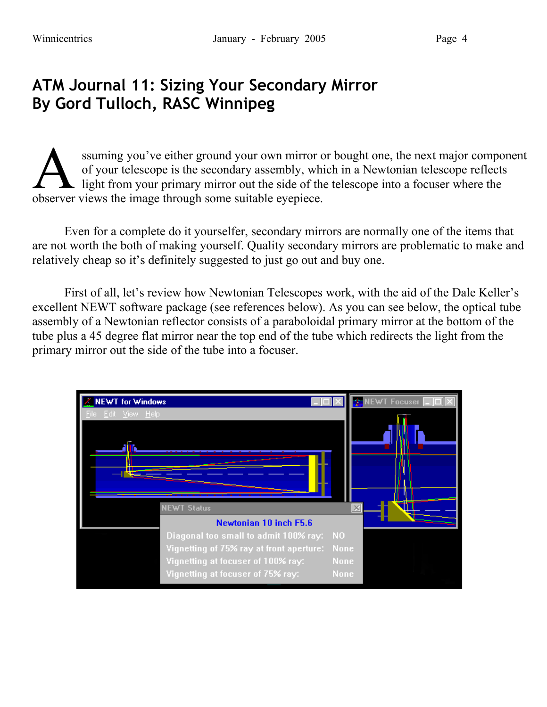## **ATM Journal 11: Sizing Your Secondary Mirror By Gord Tulloch, RASC Winnipeg**

ssuming you've either ground your own mirror or bought one, the next major component of your telescope is the secondary assembly, which in a Newtonian telescope reflects light from your primary mirror out the side of the telescope into a focuser where the Suming you've either ground your own mirror of of your telescope is the secondary assembly, wh light from your primary mirror out the side of the observer views the image through some suitable eyepiece.

Even for a complete do it yourselfer, secondary mirrors are normally one of the items that are not worth the both of making yourself. Quality secondary mirrors are problematic to make and relatively cheap so it's definitely suggested to just go out and buy one.

First of all, let's review how Newtonian Telescopes work, with the aid of the Dale Keller's excellent NEWT software package (see references below). As you can see below, the optical tube assembly of a Newtonian reflector consists of a paraboloidal primary mirror at the bottom of the tube plus a 45 degree flat mirror near the top end of the tube which redirects the light from the primary mirror out the side of the tube into a focuser.

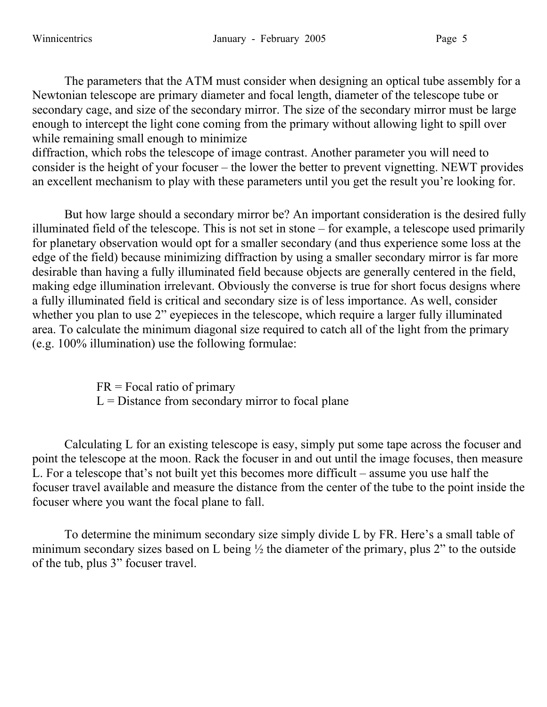The parameters that the ATM must consider when designing an optical tube assembly for a Newtonian telescope are primary diameter and focal length, diameter of the telescope tube or secondary cage, and size of the secondary mirror. The size of the secondary mirror must be large enough to intercept the light cone coming from the primary without allowing light to spill over while remaining small enough to minimize

diffraction, which robs the telescope of image contrast. Another parameter you will need to consider is the height of your focuser – the lower the better to prevent vignetting. NEWT provides an excellent mechanism to play with these parameters until you get the result you're looking for.

But how large should a secondary mirror be? An important consideration is the desired fully illuminated field of the telescope. This is not set in stone – for example, a telescope used primarily for planetary observation would opt for a smaller secondary (and thus experience some loss at the edge of the field) because minimizing diffraction by using a smaller secondary mirror is far more desirable than having a fully illuminated field because objects are generally centered in the field, making edge illumination irrelevant. Obviously the converse is true for short focus designs where a fully illuminated field is critical and secondary size is of less importance. As well, consider whether you plan to use 2" eyepieces in the telescope, which require a larger fully illuminated area. To calculate the minimum diagonal size required to catch all of the light from the primary (e.g. 100% illumination) use the following formulae:

> $FR = Focal ratio of primary$  $L =$  Distance from secondary mirror to focal plane

Calculating L for an existing telescope is easy, simply put some tape across the focuser and point the telescope at the moon. Rack the focuser in and out until the image focuses, then measure L. For a telescope that's not built yet this becomes more difficult – assume you use half the focuser travel available and measure the distance from the center of the tube to the point inside the focuser where you want the focal plane to fall.

To determine the minimum secondary size simply divide L by FR. Here's a small table of minimum secondary sizes based on L being ½ the diameter of the primary, plus 2" to the outside of the tub, plus 3" focuser travel.